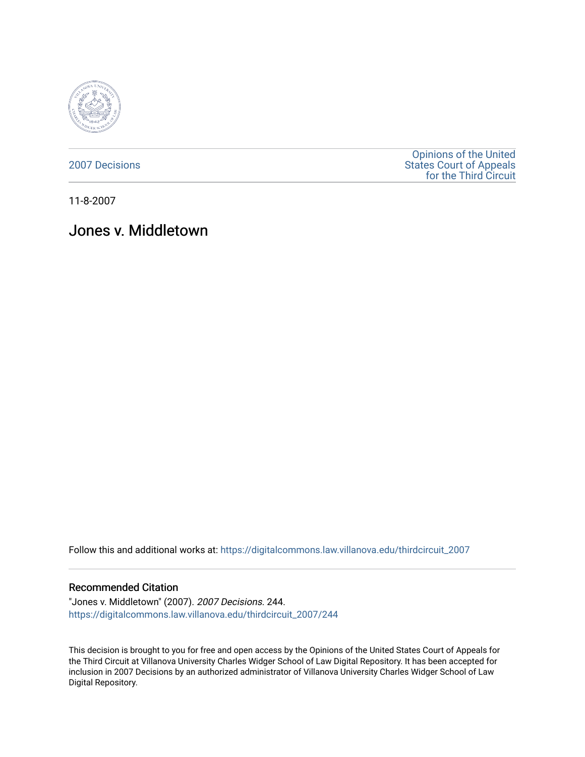

[2007 Decisions](https://digitalcommons.law.villanova.edu/thirdcircuit_2007)

[Opinions of the United](https://digitalcommons.law.villanova.edu/thirdcircuit)  [States Court of Appeals](https://digitalcommons.law.villanova.edu/thirdcircuit)  [for the Third Circuit](https://digitalcommons.law.villanova.edu/thirdcircuit) 

11-8-2007

# Jones v. Middletown

Follow this and additional works at: [https://digitalcommons.law.villanova.edu/thirdcircuit\\_2007](https://digitalcommons.law.villanova.edu/thirdcircuit_2007?utm_source=digitalcommons.law.villanova.edu%2Fthirdcircuit_2007%2F244&utm_medium=PDF&utm_campaign=PDFCoverPages) 

#### Recommended Citation

"Jones v. Middletown" (2007). 2007 Decisions. 244. [https://digitalcommons.law.villanova.edu/thirdcircuit\\_2007/244](https://digitalcommons.law.villanova.edu/thirdcircuit_2007/244?utm_source=digitalcommons.law.villanova.edu%2Fthirdcircuit_2007%2F244&utm_medium=PDF&utm_campaign=PDFCoverPages)

This decision is brought to you for free and open access by the Opinions of the United States Court of Appeals for the Third Circuit at Villanova University Charles Widger School of Law Digital Repository. It has been accepted for inclusion in 2007 Decisions by an authorized administrator of Villanova University Charles Widger School of Law Digital Repository.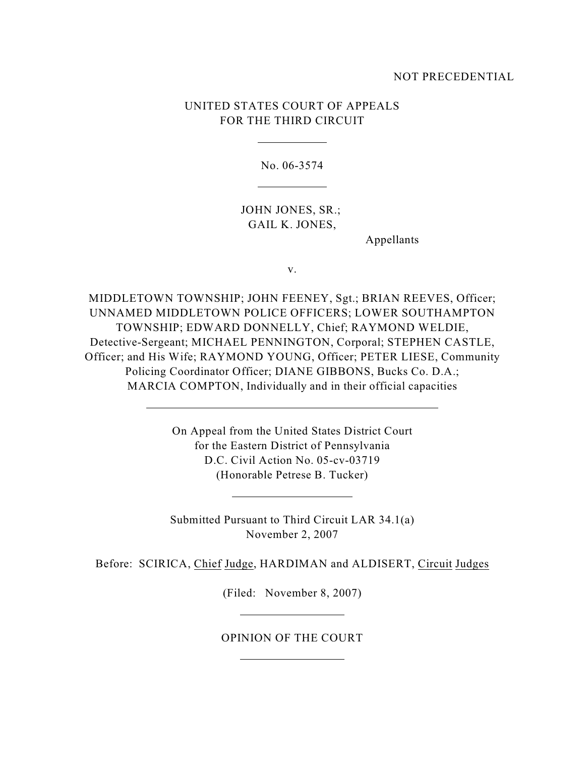### NOT PRECEDENTIAL

## UNITED STATES COURT OF APPEALS FOR THE THIRD CIRCUIT

No. 06-3574

JOHN JONES, SR.; GAIL K. JONES,

Appellants

v.

MIDDLETOWN TOWNSHIP; JOHN FEENEY, Sgt.; BRIAN REEVES, Officer; UNNAMED MIDDLETOWN POLICE OFFICERS; LOWER SOUTHAMPTON TOWNSHIP; EDWARD DONNELLY, Chief; RAYMOND WELDIE, Detective-Sergeant; MICHAEL PENNINGTON, Corporal; STEPHEN CASTLE, Officer; and His Wife; RAYMOND YOUNG, Officer; PETER LIESE, Community Policing Coordinator Officer; DIANE GIBBONS, Bucks Co. D.A.; MARCIA COMPTON, Individually and in their official capacities

> On Appeal from the United States District Court for the Eastern District of Pennsylvania D.C. Civil Action No. 05-cv-03719 (Honorable Petrese B. Tucker)

> Submitted Pursuant to Third Circuit LAR 34.1(a) November 2, 2007

Before: SCIRICA, Chief Judge, HARDIMAN and ALDISERT, Circuit Judges

(Filed: November 8, 2007)

OPINION OF THE COURT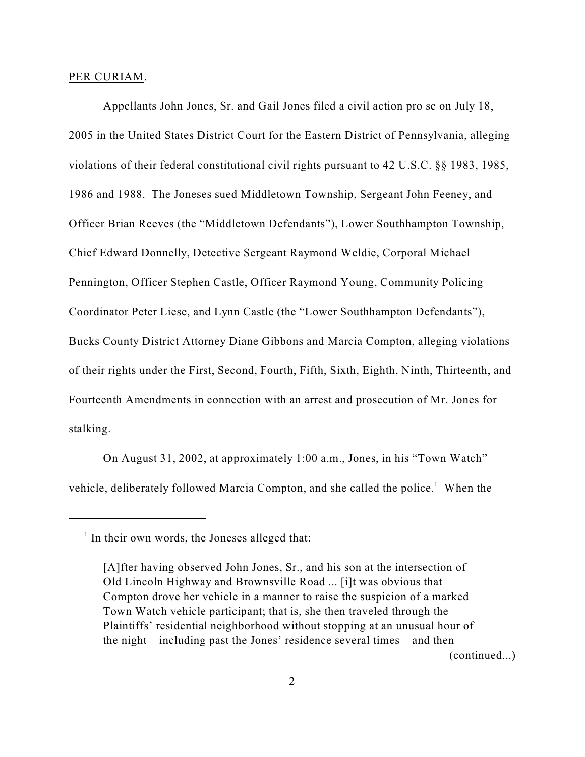#### PER CURIAM.

Appellants John Jones, Sr. and Gail Jones filed a civil action pro se on July 18, 2005 in the United States District Court for the Eastern District of Pennsylvania, alleging violations of their federal constitutional civil rights pursuant to 42 U.S.C. §§ 1983, 1985, 1986 and 1988. The Joneses sued Middletown Township, Sergeant John Feeney, and Officer Brian Reeves (the "Middletown Defendants"), Lower Southhampton Township, Chief Edward Donnelly, Detective Sergeant Raymond Weldie, Corporal Michael Pennington, Officer Stephen Castle, Officer Raymond Young, Community Policing Coordinator Peter Liese, and Lynn Castle (the "Lower Southhampton Defendants"), Bucks County District Attorney Diane Gibbons and Marcia Compton, alleging violations of their rights under the First, Second, Fourth, Fifth, Sixth, Eighth, Ninth, Thirteenth, and Fourteenth Amendments in connection with an arrest and prosecution of Mr. Jones for stalking.

On August 31, 2002, at approximately 1:00 a.m., Jones, in his "Town Watch" vehicle, deliberately followed Marcia Compton, and she called the police.<sup>1</sup> When the

 $<sup>1</sup>$  In their own words, the Joneses alleged that:</sup>

<sup>[</sup>A]fter having observed John Jones, Sr., and his son at the intersection of Old Lincoln Highway and Brownsville Road ... [i]t was obvious that Compton drove her vehicle in a manner to raise the suspicion of a marked Town Watch vehicle participant; that is, she then traveled through the Plaintiffs' residential neighborhood without stopping at an unusual hour of the night – including past the Jones' residence several times – and then (continued...)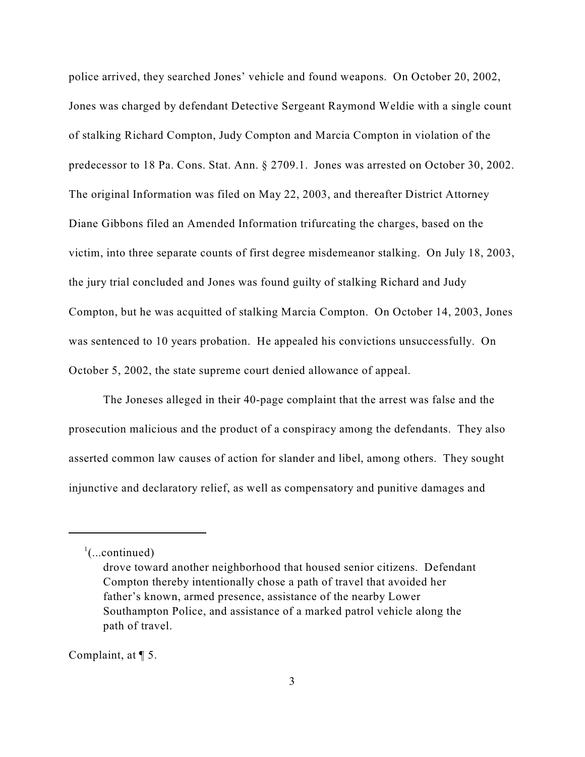police arrived, they searched Jones' vehicle and found weapons. On October 20, 2002, Jones was charged by defendant Detective Sergeant Raymond Weldie with a single count of stalking Richard Compton, Judy Compton and Marcia Compton in violation of the predecessor to 18 Pa. Cons. Stat. Ann. § 2709.1. Jones was arrested on October 30, 2002. The original Information was filed on May 22, 2003, and thereafter District Attorney Diane Gibbons filed an Amended Information trifurcating the charges, based on the victim, into three separate counts of first degree misdemeanor stalking. On July 18, 2003, the jury trial concluded and Jones was found guilty of stalking Richard and Judy Compton, but he was acquitted of stalking Marcia Compton. On October 14, 2003, Jones was sentenced to 10 years probation. He appealed his convictions unsuccessfully. On October 5, 2002, the state supreme court denied allowance of appeal.

The Joneses alleged in their 40-page complaint that the arrest was false and the prosecution malicious and the product of a conspiracy among the defendants. They also asserted common law causes of action for slander and libel, among others. They sought injunctive and declaratory relief, as well as compensatory and punitive damages and

Complaint, at ¶ 5.

 $\frac{1}{2}$ (...continued)

drove toward another neighborhood that housed senior citizens. Defendant Compton thereby intentionally chose a path of travel that avoided her father's known, armed presence, assistance of the nearby Lower Southampton Police, and assistance of a marked patrol vehicle along the path of travel.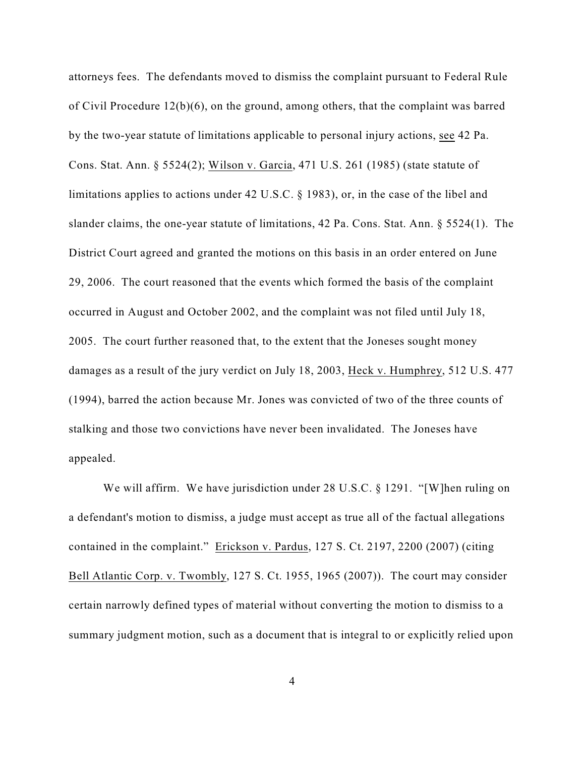attorneys fees. The defendants moved to dismiss the complaint pursuant to Federal Rule of Civil Procedure 12(b)(6), on the ground, among others, that the complaint was barred by the two-year statute of limitations applicable to personal injury actions, see 42 Pa. Cons. Stat. Ann. § 5524(2); Wilson v. Garcia, 471 U.S. 261 (1985) (state statute of limitations applies to actions under 42 U.S.C. § 1983), or, in the case of the libel and slander claims, the one-year statute of limitations, 42 Pa. Cons. Stat. Ann. § 5524(1). The District Court agreed and granted the motions on this basis in an order entered on June 29, 2006. The court reasoned that the events which formed the basis of the complaint occurred in August and October 2002, and the complaint was not filed until July 18, 2005. The court further reasoned that, to the extent that the Joneses sought money damages as a result of the jury verdict on July 18, 2003, Heck v. Humphrey, 512 U.S. 477 (1994), barred the action because Mr. Jones was convicted of two of the three counts of stalking and those two convictions have never been invalidated. The Joneses have appealed.

We will affirm. We have jurisdiction under 28 U.S.C. § 1291. "[W]hen ruling on a defendant's motion to dismiss, a judge must accept as true all of the factual allegations contained in the complaint." Erickson v. Pardus, 127 S. Ct. 2197, 2200 (2007) (citing Bell Atlantic Corp. v. Twombly, 127 S. Ct. 1955, 1965 (2007)). The court may consider certain narrowly defined types of material without converting the motion to dismiss to a summary judgment motion, such as a document that is integral to or explicitly relied upon

4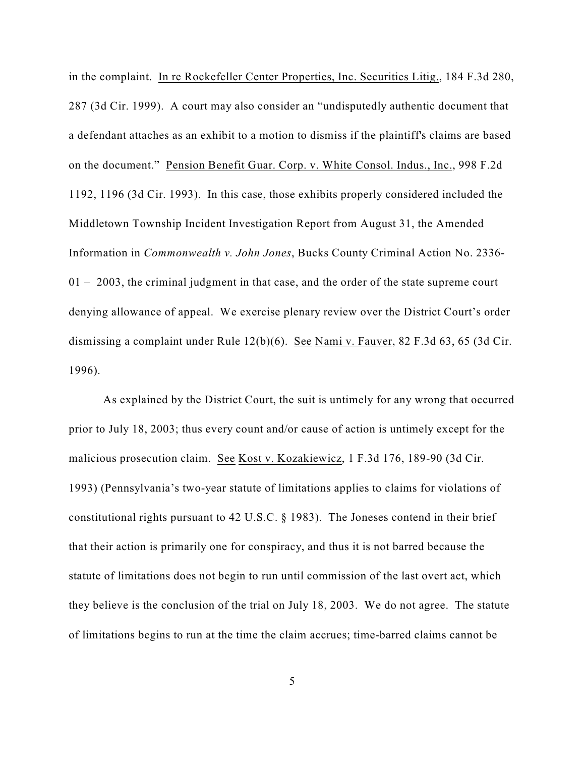in the complaint. In re Rockefeller Center Properties, Inc. Securities Litig., 184 F.3d 280, 287 (3d Cir. 1999). A court may also consider an "undisputedly authentic document that a defendant attaches as an exhibit to a motion to dismiss if the plaintiff's claims are based on the document." Pension Benefit Guar. Corp. v. White Consol. Indus., Inc., 998 F.2d 1192, 1196 (3d Cir. 1993). In this case, those exhibits properly considered included the Middletown Township Incident Investigation Report from August 31, the Amended Information in *Commonwealth v. John Jones*, Bucks County Criminal Action No. 2336-  $01 - 2003$ , the criminal judgment in that case, and the order of the state supreme court denying allowance of appeal. We exercise plenary review over the District Court's order dismissing a complaint under Rule 12(b)(6). See Nami v. Fauver, 82 F.3d 63, 65 (3d Cir. 1996).

As explained by the District Court, the suit is untimely for any wrong that occurred prior to July 18, 2003; thus every count and/or cause of action is untimely except for the malicious prosecution claim. See Kost v. Kozakiewicz, 1 F.3d 176, 189-90 (3d Cir. 1993) (Pennsylvania's two-year statute of limitations applies to claims for violations of constitutional rights pursuant to 42 U.S.C. § 1983). The Joneses contend in their brief that their action is primarily one for conspiracy, and thus it is not barred because the statute of limitations does not begin to run until commission of the last overt act, which they believe is the conclusion of the trial on July 18, 2003. We do not agree. The statute of limitations begins to run at the time the claim accrues; time-barred claims cannot be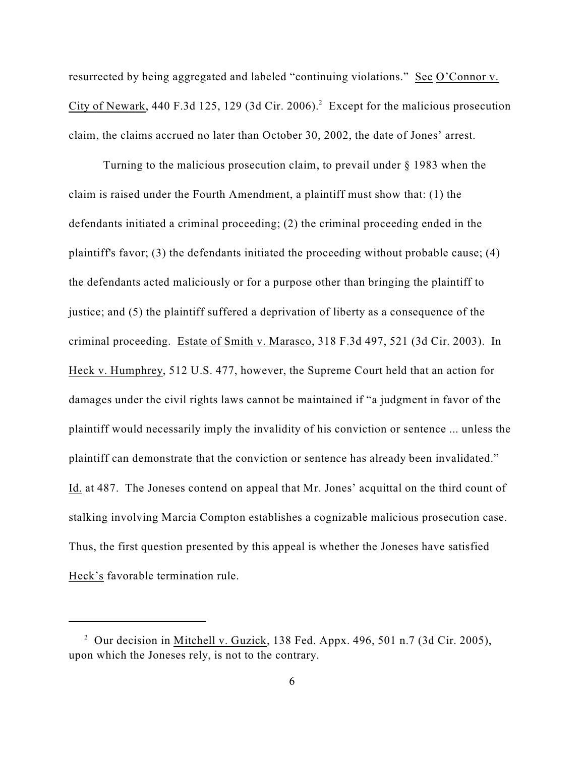resurrected by being aggregated and labeled "continuing violations." See O'Connor v. City of Newark, 440 F.3d 125, 129 (3d Cir. 2006).<sup>2</sup> Except for the malicious prosecution claim, the claims accrued no later than October 30, 2002, the date of Jones' arrest.

Turning to the malicious prosecution claim, to prevail under § 1983 when the claim is raised under the Fourth Amendment, a plaintiff must show that: (1) the defendants initiated a criminal proceeding; (2) the criminal proceeding ended in the plaintiff's favor; (3) the defendants initiated the proceeding without probable cause; (4) the defendants acted maliciously or for a purpose other than bringing the plaintiff to justice; and (5) the plaintiff suffered a deprivation of liberty as a consequence of the criminal proceeding. Estate of Smith v. Marasco, 318 F.3d 497, 521 (3d Cir. 2003). In Heck v. Humphrey, 512 U.S. 477, however, the Supreme Court held that an action for damages under the civil rights laws cannot be maintained if "a judgment in favor of the plaintiff would necessarily imply the invalidity of his conviction or sentence ... unless the plaintiff can demonstrate that the conviction or sentence has already been invalidated." Id. at 487. The Joneses contend on appeal that Mr. Jones' acquittal on the third count of stalking involving Marcia Compton establishes a cognizable malicious prosecution case. Thus, the first question presented by this appeal is whether the Joneses have satisfied Heck's favorable termination rule.

<sup>&</sup>lt;sup>2</sup> Our decision in Mitchell v. Guzick, 138 Fed. Appx. 496, 501 n.7 (3d Cir. 2005), upon which the Joneses rely, is not to the contrary.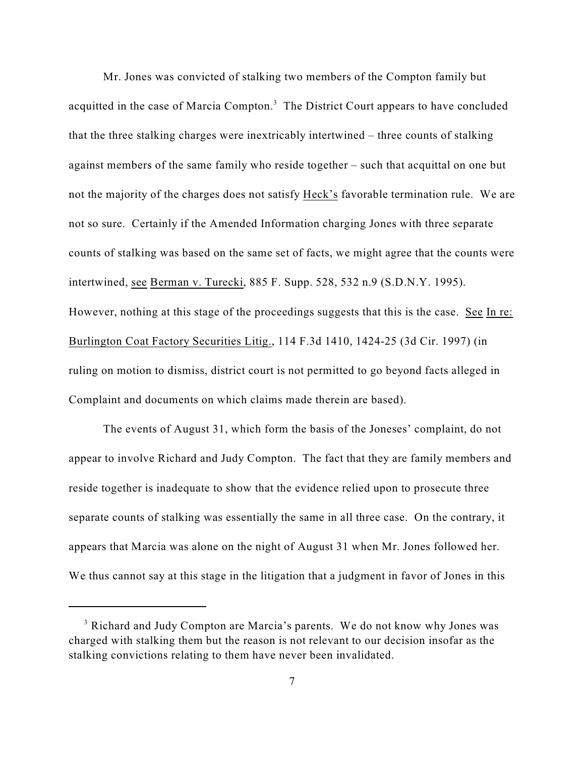Mr. Jones was convicted of stalking two members of the Compton family but acquitted in the case of Marcia Compton.<sup>3</sup> The District Court appears to have concluded that the three stalking charges were inextricably intertwined – three counts of stalking against members of the same family who reside together – such that acquittal on one but not the majority of the charges does not satisfy Heck's favorable termination rule. We are not so sure. Certainly if the Amended Information charging Jones with three separate counts of stalking was based on the same set of facts, we might agree that the counts were intertwined, see Berman v. Turecki, 885 F. Supp. 528, 532 n.9 (S.D.N.Y. 1995). However, nothing at this stage of the proceedings suggests that this is the case. See In re: Burlington Coat Factory Securities Litig., 114 F.3d 1410, 1424-25 (3d Cir. 1997) (in ruling on motion to dismiss, district court is not permitted to go beyond facts alleged in Complaint and documents on which claims made therein are based).

The events of August 31, which form the basis of the Joneses' complaint, do not appear to involve Richard and Judy Compton. The fact that they are family members and reside together is inadequate to show that the evidence relied upon to prosecute three separate counts of stalking was essentially the same in all three case. On the contrary, it appears that Marcia was alone on the night of August 31 when Mr. Jones followed her. We thus cannot say at this stage in the litigation that a judgment in favor of Jones in this

<sup>&</sup>lt;sup>3</sup> Richard and Judy Compton are Marcia's parents. We do not know why Jones was charged with stalking them but the reason is not relevant to our decision insofar as the stalking convictions relating to them have never been invalidated.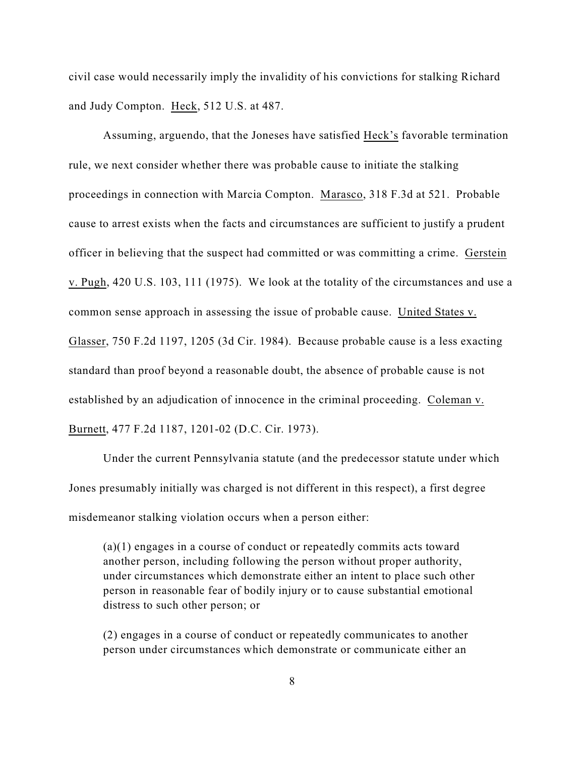civil case would necessarily imply the invalidity of his convictions for stalking Richard and Judy Compton. Heck, 512 U.S. at 487.

Assuming, arguendo, that the Joneses have satisfied Heck's favorable termination rule, we next consider whether there was probable cause to initiate the stalking proceedings in connection with Marcia Compton. Marasco, 318 F.3d at 521. Probable cause to arrest exists when the facts and circumstances are sufficient to justify a prudent officer in believing that the suspect had committed or was committing a crime. Gerstein v. Pugh, 420 U.S. 103, 111 (1975). We look at the totality of the circumstances and use a common sense approach in assessing the issue of probable cause. United States v. Glasser, 750 F.2d 1197, 1205 (3d Cir. 1984). Because probable cause is a less exacting standard than proof beyond a reasonable doubt, the absence of probable cause is not established by an adjudication of innocence in the criminal proceeding. Coleman v. Burnett, 477 F.2d 1187, 1201-02 (D.C. Cir. 1973).

Under the current Pennsylvania statute (and the predecessor statute under which Jones presumably initially was charged is not different in this respect), a first degree misdemeanor stalking violation occurs when a person either:

(a)(1) engages in a course of conduct or repeatedly commits acts toward another person, including following the person without proper authority, under circumstances which demonstrate either an intent to place such other person in reasonable fear of bodily injury or to cause substantial emotional distress to such other person; or

(2) engages in a course of conduct or repeatedly communicates to another person under circumstances which demonstrate or communicate either an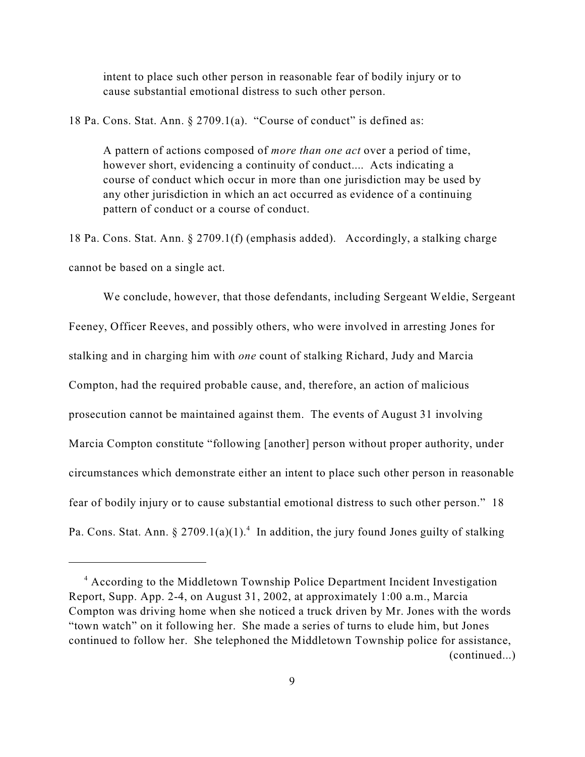intent to place such other person in reasonable fear of bodily injury or to cause substantial emotional distress to such other person.

18 Pa. Cons. Stat. Ann. § 2709.1(a). "Course of conduct" is defined as:

A pattern of actions composed of *more than one act* over a period of time, however short, evidencing a continuity of conduct.... Acts indicating a course of conduct which occur in more than one jurisdiction may be used by any other jurisdiction in which an act occurred as evidence of a continuing pattern of conduct or a course of conduct.

18 Pa. Cons. Stat. Ann. § 2709.1(f) (emphasis added). Accordingly, a stalking charge cannot be based on a single act.

We conclude, however, that those defendants, including Sergeant Weldie, Sergeant Feeney, Officer Reeves, and possibly others, who were involved in arresting Jones for stalking and in charging him with *one* count of stalking Richard, Judy and Marcia Compton, had the required probable cause, and, therefore, an action of malicious prosecution cannot be maintained against them. The events of August 31 involving Marcia Compton constitute "following [another] person without proper authority, under circumstances which demonstrate either an intent to place such other person in reasonable fear of bodily injury or to cause substantial emotional distress to such other person." 18 Pa. Cons. Stat. Ann. § 2709.1(a)(1).<sup>4</sup> In addition, the jury found Jones guilty of stalking

<sup>&</sup>lt;sup>4</sup> According to the Middletown Township Police Department Incident Investigation Report, Supp. App. 2-4, on August 31, 2002, at approximately 1:00 a.m., Marcia Compton was driving home when she noticed a truck driven by Mr. Jones with the words "town watch" on it following her. She made a series of turns to elude him, but Jones continued to follow her. She telephoned the Middletown Township police for assistance, (continued...)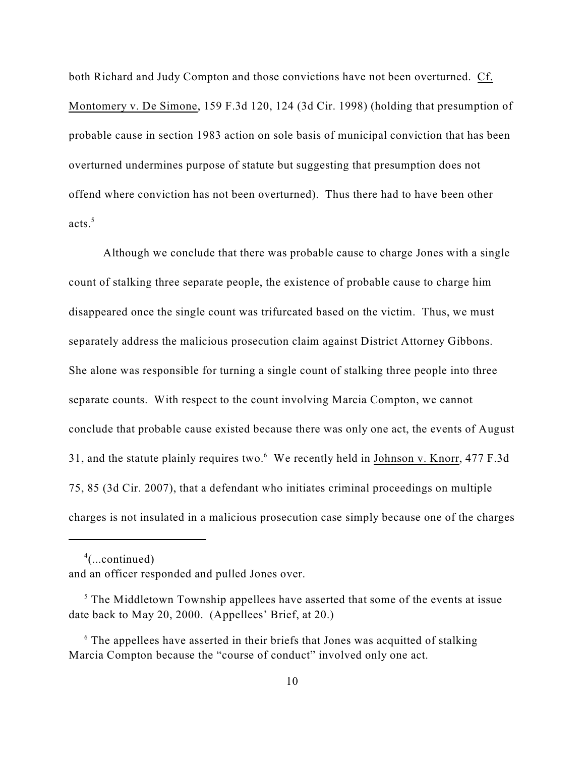both Richard and Judy Compton and those convictions have not been overturned. Cf. Montomery v. De Simone, 159 F.3d 120, 124 (3d Cir. 1998) (holding that presumption of probable cause in section 1983 action on sole basis of municipal conviction that has been overturned undermines purpose of statute but suggesting that presumption does not offend where conviction has not been overturned). Thus there had to have been other acts.<sup>5</sup>

Although we conclude that there was probable cause to charge Jones with a single count of stalking three separate people, the existence of probable cause to charge him disappeared once the single count was trifurcated based on the victim. Thus, we must separately address the malicious prosecution claim against District Attorney Gibbons. She alone was responsible for turning a single count of stalking three people into three separate counts. With respect to the count involving Marcia Compton, we cannot conclude that probable cause existed because there was only one act, the events of August 31, and the statute plainly requires two. $6\,$  We recently held in Johnson v. Knorr, 477 F.3d 75, 85 (3d Cir. 2007), that a defendant who initiates criminal proceedings on multiple charges is not insulated in a malicious prosecution case simply because one of the charges

 $^4$ (...continued)

and an officer responded and pulled Jones over.

 $<sup>5</sup>$  The Middletown Township appellees have asserted that some of the events at issue</sup> date back to May 20, 2000. (Appellees' Brief, at 20.)

 $\delta$  The appellees have asserted in their briefs that Jones was acquitted of stalking Marcia Compton because the "course of conduct" involved only one act.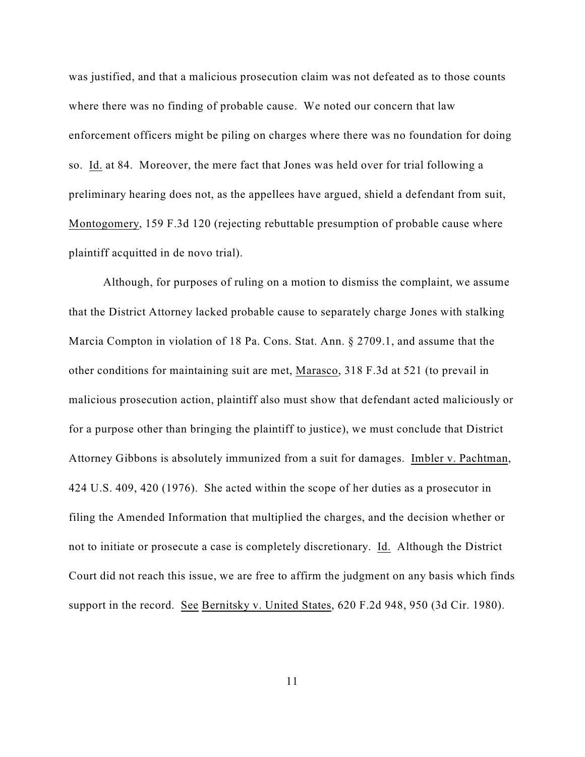was justified, and that a malicious prosecution claim was not defeated as to those counts where there was no finding of probable cause. We noted our concern that law enforcement officers might be piling on charges where there was no foundation for doing so. Id. at 84. Moreover, the mere fact that Jones was held over for trial following a preliminary hearing does not, as the appellees have argued, shield a defendant from suit, Montogomery, 159 F.3d 120 (rejecting rebuttable presumption of probable cause where plaintiff acquitted in de novo trial).

Although, for purposes of ruling on a motion to dismiss the complaint, we assume that the District Attorney lacked probable cause to separately charge Jones with stalking Marcia Compton in violation of 18 Pa. Cons. Stat. Ann. § 2709.1, and assume that the other conditions for maintaining suit are met, Marasco, 318 F.3d at 521 (to prevail in malicious prosecution action, plaintiff also must show that defendant acted maliciously or for a purpose other than bringing the plaintiff to justice), we must conclude that District Attorney Gibbons is absolutely immunized from a suit for damages. Imbler v. Pachtman, 424 U.S. 409, 420 (1976). She acted within the scope of her duties as a prosecutor in filing the Amended Information that multiplied the charges, and the decision whether or not to initiate or prosecute a case is completely discretionary. Id. Although the District Court did not reach this issue, we are free to affirm the judgment on any basis which finds support in the record. See Bernitsky v. United States, 620 F.2d 948, 950 (3d Cir. 1980).